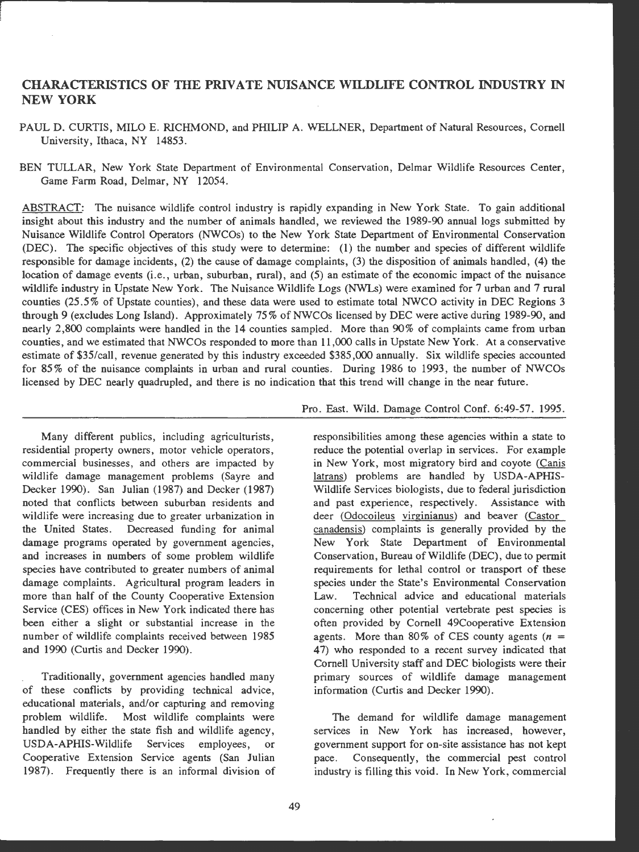# **CHARACTERISTICS OF** TIIE **PRIVATE NUISANCE WILDLIFE CONTROL INDUSTRY** IN **NEW YORK**

PAUL D. CURTIS, MILO E. RICHMOND, and PHILIP A. WELLNER, Department of Natural Resources, Cornell University, Ithaca, NY 14853.

BEN TULLAR, New York State Department of Environmental Conservation, Delmar Wildlife Resources Center, Game Farm Road, Delmar, NY 12054.

ABSTRACT: The nuisance wildlife control industry is rapidly expanding in New York State. To gain additional insight about this industry and the number of animals handled, we reviewed the 1989-90 annual logs submitted by Nuisance Wildlife Control Operators (NWCOs) to the New York State Department of Environmental Conservatlon (DEC). The specific objectives of this study were to determine: (1) the number and species of different wildlife responsible for damage incidents, (2) the cause of damage complaints, (3) the disposition of animals handled, (4) the location of damage events (i.e., urban, suburban, rural), and (5) an estimate of the economic impact of the nuisance wildlife industry in Upstate New York. The Nuisance Wildlife Logs (NWLs) were examined for 7 urban and 7 rural counties (25.5% of Upstate counties), and these data were used to estimate total NWCO activity in DEC Regions 3 through 9 (excludes Long Island). Approximately 75% of NWCOs licensed by DEC were active during 1989-90, and nearly 2,800 complaints were handled in the 14 counties sampled. More than 90% of complaints came from urban counties, and we estimated that NWCOs responded to more than 11,000 calls in Upstate New York. At a conservative estimate of \$35/call, revenue generated by this industry exceeded \$385,000 annually . Six wildlife species accounted for 85% of the nuisance complaints in urban and rural counties. During 1986 to 1993, the number of NWCOs licensed by DEC nearly quadrupled, and there is no indication that this trend will change in the near future.

Many different publics, including agriculturists, residential property owners, motor vehicle operators, commercial businesses, and others are impacted by wildlife damage management problems (Sayre and Decker 1990). San Julian (1987) and Decker (1987) noted that conflicts between suburban residents and wildlife were increasing due to greater urbanization in the United States. Decreased funding for animal damage programs operated by government agencies, and increases in numbers of some problem wildlife species have contributed to greater numbers of animal damage complaints. Agricultural program leaders in more than half of the County Cooperative Extension Service (CES) offices in New York indicated there has been either a slight or substantial increase in the number of wildlife complaints received between 1985 and 1990 (Curtis and Decker 1990).

Traditionally, government agencies handled many of these conflicts by providing technical advice, educational materials, and/or capturing and removing problem wildlife. Most wildlife complaints were handled by either the state fish and wildlife agency, USDA-APHIS-Wildlife Services employees, or Cooperative Extension Service agents (San Julian 1987). Frequently there is an informal division of

## Pro. East. Wild. Damage Control Conf. 6:49-57. 1995.

responsibilities among these agencies within a state to reduce the potential overlap in services. For example in New York, most migratory bird and coyote (Canis latrans) problems are handled by USDA-APHIS-Wildlife Services biologists, due to federal jurisdiction and past experience, respectively. Assistance with deer (Odocoileus virginianus) and beaver (Castor canadensis) complaints is generally provided by the New York State Department of Environmental Conservation, Bureau of Wildlife (DEC), due to permit requirements for lethal control or transport of these species under the State's Environmental Conservation Law. Technical advice and educational materials concerning other potential vertebrate pest species is often provided by Cornell 49Cooperative Extension agents. More than 80% of CES county agents  $(n =$ 47) who responded to a recent survey indicated that Cornell University staff and DEC biologists were their primary sources of wildlife damage management information (Curtis and Decker 1990).

The demand for wildlife damage management services in New York has increased, however, government support for on-site assistance has not kept pace. Consequently, the commercial pest control industry is filling this void. In New York , commercial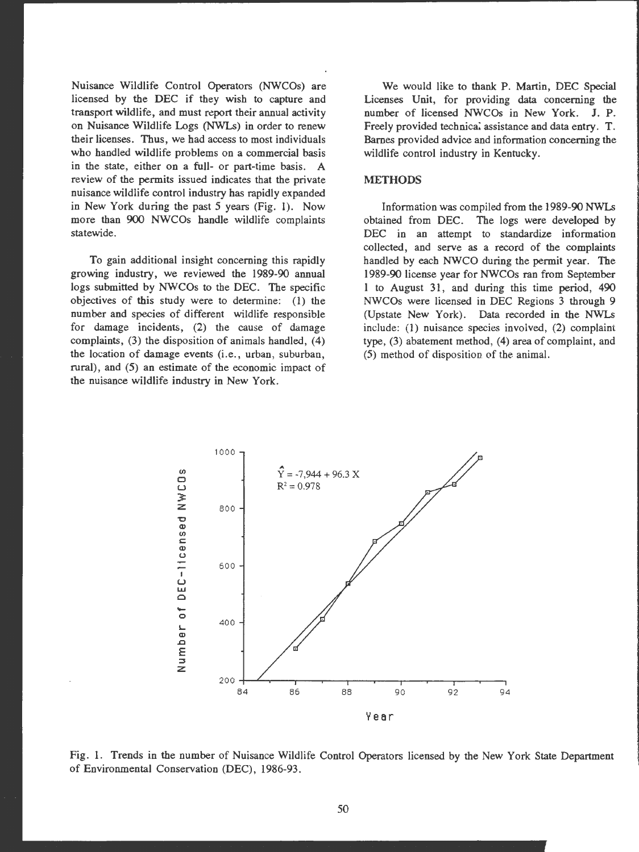Nuisance Wildlife Control Operators (NWCOs) are licensed by the DEC if they wish to capture and transport wildlife, and must report their annual activity on Nuisance Wildlife Logs (NWLs) in order to renew their licenses. Thus, we had access to most individuals who handled wildlife problems on a commercial basis in the state, either on a full- or part-time basis. A review of the permits issued indicates that the private nuisance wildlife control industry has rapidly expanded in New York during the past *5* years (Fig. 1). Now more than 900 NWCOs handle wildlife complaints statewide.

To gain additional insight concerning this rapidly growing industry, we reviewed the 1989-90 annual logs submitted by NWCOs to the DEC. The specific objectives of this study were to determine: (I) the number and species of different wildlife responsible for damage incidents, (2) the cause of damage complaints, (3) the disposition of animals handled, (4) the location of damage events (i.e., urban, suburban, rural), and (5) an estimate of the economic impact of the nuisance wildlife industry in New York.

We would like to thank P. Martin, DEC Special Licenses Unit, for providing data concerning the number of licensed NWCOs in New York. J. P. Freely provided technical assistance and data entry. T. Barnes provided advice and information concerning the wildlife control industry in Kentucky.

#### **METHODS**

Information was compiled from the 1989-90 NWLs obtained from DEC. The logs were developed by DEC in an attempt to standardize information collected, and serve as a record of the complaints handled by each NWCO during the permit year. The 1989-90 license year for NWCOs ran from September 1 to August 31, and during this time period, 490 NWCOs were licensed in DEC Regions 3 through 9 (Upstate New York). Data recorded in the NWLs include: (1) nuisance species invoived, (2) complaint type, (3) abatement method, (4) area of complaint, and (5) method of disposition of the animal.



Fig. 1. Trends in the number of Nuisance Wildlife Control Operators licensed by the New York State Department of Environmental Conservation (DEC), 1986-93.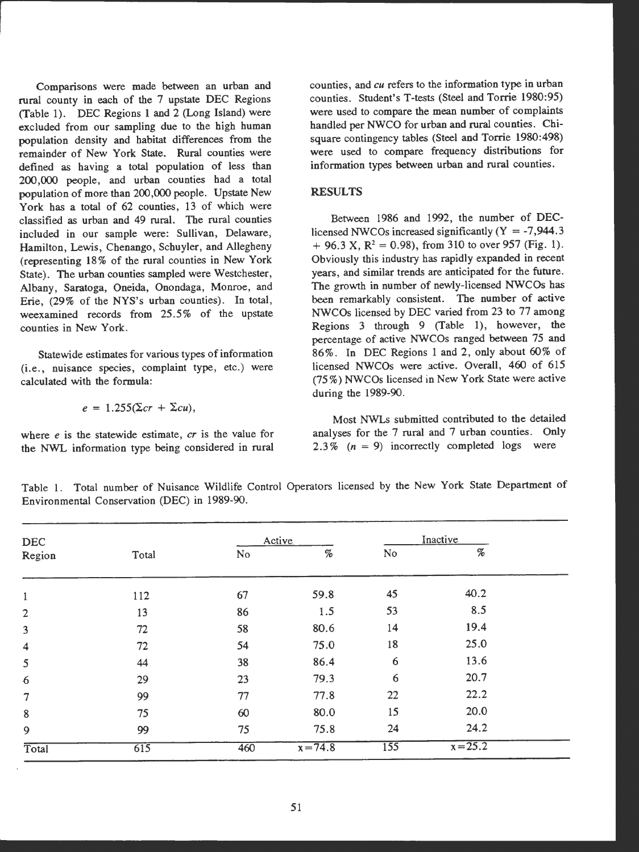Comparisons were made between an urban and rural county in each of the 7 upstate DEC Regions (Table 1). DEC Regions 1 and 2 (Long Island) were excluded from our sampling due to the high human population density and habitat differences from the remainder of New York State. Rural counties were defined as having a total population of less than **200,000** people, and urban counties bad a total population of more than 200,000 people. Upstate New York bas a total of 62 counties, 13 of which were classified as urban and 49 rural. The rural counties included in our sample were: Sullivan, Delaware, Hamilton, Lewis, Chenango, Schuyler, and Allegheny (representing 18% of the rural counties in New York State). The urban counties sampled were Westchester, Albany, Saratoga, Oneida, Onondaga, Monroe, and Erie, (29% of the NYS's urban counties). In total, weexamined records from 25 *.5* % of the upstate counties in New York.

Statewide estimates for various types of information (i.e., nuisance species, complaint type, etc.) were calculated with the formula:

$$
e = 1.255(\Sigma cr + \Sigma cu),
$$

where *e* is the statewide estimate, *er* is the value for the NWL information type being considered in rural

counties, and *cu* refers to the information type in urban counties. Student's T-tests (Steel and Torrie 1980:95) were used to compare the mean number of complaints handled per NWCO for urban and rural counties. Chisquare contingency tables (Steel and Torrie 1980:498) were used to compare frequency distributions for information types between urban and rural counties.

## **RESULTS**

Between 1986 and 1992, the number of DEClicensed NWCOs increased significantly  $(Y = -7,944.3)$  $+$  96.3 X, R<sup>2</sup> = 0.98), from 310 to over 957 (Fig. 1). Obviously this industry bas rapidly expanded in recent years, and similar trends are anticipated for the future. The growth in number of newly-licensed NWCOs has been remarkably consistent. The number of active NWCOs licensed by DEC varied from 23 to 77 among Regions 3 through 9 (Table 1), however, the percentage of active NWCOs ranged between 75 and 86%. In DEC Regions 1 and 2, only about 60% of licensed NWCOs were active. Overall, 460 of 615 (75 % ) NWCOs licensed in New York State were active during the 1989-90.

Most NWLs submitted contributed to the detailed analyses for the 7 rural and 7 urban counties. Only 2.3%  $(n = 9)$  incorrectly completed logs were

Table 1. Total number of Nuisance Wildlife Control Operators licensed by the New York State Department of Environmental Conservation (DEC) in 1989-90.

| <b>DEC</b>              |       |                | Active                                                                                                 |                  | Inactive                     |  |
|-------------------------|-------|----------------|--------------------------------------------------------------------------------------------------------|------------------|------------------------------|--|
| Region                  | Total | N <sub>o</sub> | $% \mathcal{P}_{\mathcal{A}}^{\mathcal{A}}\left( \mathcal{A} \right) \equiv \mathcal{A}^{\mathcal{A}}$ | No               | $% \mathcal{P}_{\mathrm{c}}$ |  |
| $\mathbf{1}$            | 112   | 67             | 59.8                                                                                                   | 45               | 40.2                         |  |
| $\overline{2}$          | 13    | 86             | 1.5                                                                                                    | 53               | 8.5                          |  |
| $\overline{\mathbf{3}}$ | 72    | 58             | 80.6                                                                                                   | 14               | 19.4                         |  |
| $\overline{\mathbf{4}}$ | 72    | 54             | 75.0                                                                                                   | 18               | 25.0                         |  |
| 5                       | 44    | 38             | 86.4                                                                                                   | 6                | 13.6                         |  |
| $\boldsymbol{6}$        | 29    | 23             | 79.3                                                                                                   | 6                | 20.7                         |  |
| $\overline{7}$          | 99    | 77             | 77.8                                                                                                   | 22               | 22.2                         |  |
| $\bf 8$                 | 75    | 60             | 80.0                                                                                                   | 15               | 20.0                         |  |
| 9                       | 99    | 75             | 75.8                                                                                                   | 24               | 24.2                         |  |
| Total                   | 615   | 460            | $x = 74.8$                                                                                             | $\overline{155}$ | $x = 25.2$                   |  |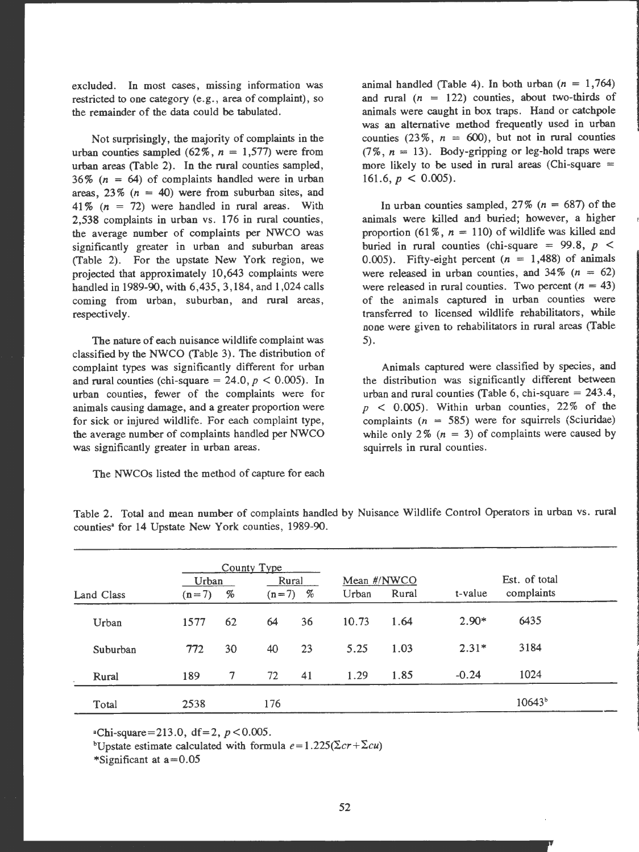excluded. In most cases, missing information was restricted to one category (e.g., area of complaint), so the remainder of the data could be tabulated.

Not surprisingly, the majority of complaints in the urban counties sampled  $(62\%, n = 1,577)$  were from urban areas (Table 2). In the rural counties sampled, 36% ( $n = 64$ ) of complaints handled were in urban areas,  $23\%$  ( $n = 40$ ) were from suburban sites, and 41 %  $(n = 72)$  were handled in rural areas. With 2,538 complaints in urban vs. 176 in rural counties, the average number of complaints per NWCO was significantly greater in urban and suburban areas (Table 2). For the upstate New York region, we projected that approximately 10,643 complaints were handled in 1989-90, with 6,435, 3,184, and 1,024 calls coming from urban, suburban, and rural areas, respectively.

The nature of each nuisance wildlife complaint was classified by the NWCO (Table 3). The distribution of complaint types was significantly different for urban and rural counties (chi-square = 24.0,  $p < 0.005$ ). In urban counties, fewer of the complaints were for animals causing damage, and a greater proportion were for sick or injured wildlife. For each complaint type, the average number of complaints handled per NWCO was significantly greater in urban areas.

The NWCOs listed the method of capture for each

animal handled (Table 4). In both urban  $(n = 1,764)$ and rural  $(n = 122)$  counties, about two-thirds of animals were caught in box traps. Hand or catchpole was an alternative method frequently used in urban counties  $(23\%, n = 600)$ , but not in rural counties  $(7\% \, n = 13)$ . Body-gripping or leg-hold traps were more likely to be used in rural areas (Chi-square  $=$ 161.6,  $p < 0.005$ ).

In urban counties sampled,  $27\%$  ( $n = 687$ ) of the animals were killed and buried; however, a higher proportion (61%,  $n = 110$ ) of wildlife was killed and buried in rural counties (chi-square = 99.8,  $p \le$ 0.005). Fifty-eight percent  $(n = 1,488)$  of animals were released in urban counties, and  $34\%$  ( $n = 62$ ) were released in rural counties. Two percent  $(n = 43)$ of the animals captured in urban counties were transferred to licensed wildlife rehabilitators, while none were given to rehabilitators in rural areas (Table 5).

Animals captured were classified by species, and the distribution was significantly different between urban and rural counties (Table 6, chi-square  $= 243.4$ ,  $p \leq 0.005$ . Within urban counties, 22% of the complaints ( $n = 585$ ) were for squirrels (Sciuridae) while only 2% ( $n = 3$ ) of complaints were caused by squirrels in rural counties.

|            |         |                                                                    | County Type |       |       |             |         |               |  |
|------------|---------|--------------------------------------------------------------------|-------------|-------|-------|-------------|---------|---------------|--|
|            | Urban   |                                                                    |             | Rural |       | Mean #/NWCO |         | Est. of total |  |
| Land Class | $(n=7)$ | $% \mathcal{P}_{\mathrm{C}}\left( \mathcal{P}_{\mathrm{C}}\right)$ | $(n=7)$     | %     | Urban | Rural       | t-value | complaints    |  |
| Urban      | 1577    | 62                                                                 | 64          | 36    | 10.73 | 1.64        | $2.90*$ | 6435          |  |
| Suburban   | 772     | 30                                                                 | 40          | 23    | 5.25  | 1.03        | $2.31*$ | 3184          |  |
| Rural      | 189     | 7                                                                  | 72          | 41    | 1.29  | 1.85        | $-0.24$ | 1024          |  |
| Total      | 2538    |                                                                    | 176         |       |       |             |         | $10643^{b}$   |  |

Table 2. Total and mean number of complaints handled by Nuisance Wildlife Control Operators in urban vs. rural counties• for 14 Upstate New York counties, 1989-90.

 $e^{\alpha}$ Chi-square=213.0, df=2, p < 0.005.

bUpstate estimate calculated with formula  $e = 1.225(\Sigma cr + \Sigma cu)$ 

\*Significant at  $a=0.05$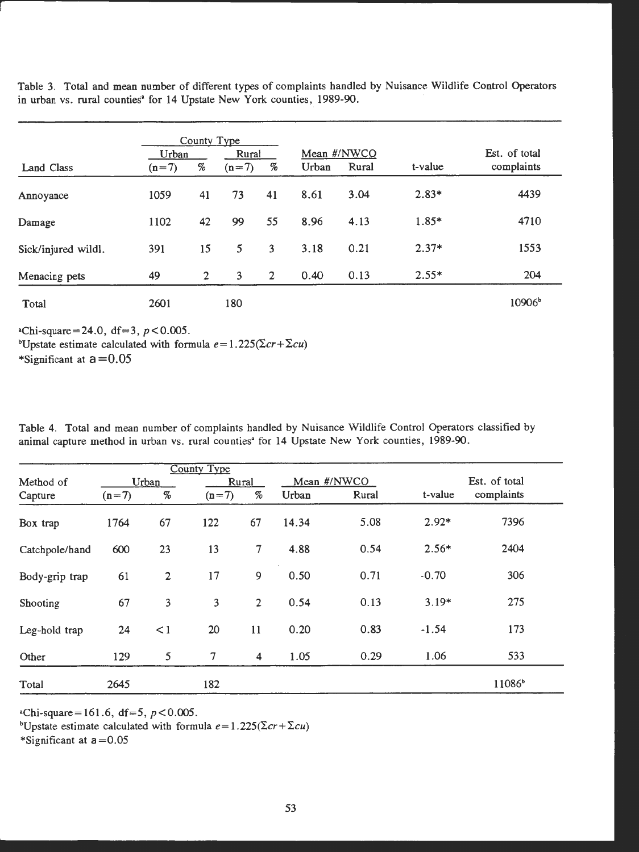Table 3. Total and mean number of different types of complaints handled by Nuisance Wildlife Control Operators in urban vs. rural counties<sup>a</sup> for 14 Upstate New York counties, 1989-90.

|                     | County Type |                |         |                |             |       |         |                 |
|---------------------|-------------|----------------|---------|----------------|-------------|-------|---------|-----------------|
|                     | Urban       |                | Rural   |                | Mean #/NWCO |       |         | Est. of total   |
| Land Class          | $(n=7)$     | $\%$           | $(n=7)$ | %              | Urban       | Rural | t-value | complaints      |
| Annoyance           | 1059        | 41             | 73      | 41             | 8.61        | 3.04  | $2.83*$ | 4439            |
| Damage              | 1102        | 42             | 99      | 55             | 8.96        | 4.13  | $1.85*$ | 4710            |
| Sick/injured wildl. | 391         | 15             | 5       | 3              | 3.18        | 0.21  | $2.37*$ | 1553            |
| Menacing pets       | 49          | $\overline{2}$ | 3       | $\overline{2}$ | 0.40        | 0.13  | $2.55*$ | 204             |
| Total               | 2601        |                | 180     |                |             |       |         | $10906^{\circ}$ |

 $*Chi-square = 24.0, df = 3, p < 0.005.$ <sup>b</sup>Upstate estimate calculated with formula  $e = 1.225(\Sigma cr + \Sigma cu)$ \*Significant at  $a = 0.05$ 

Table 4. Total and mean number of complaints handled by Nuisance Wildlife Control Operators classified by animal capture method in urban vs. rural counties<sup>\*</sup> for 14 Upstate New York counties, 1989-90.

|                |         |                | <b>County Type</b>      |                                                                    |       |             |               |                    |
|----------------|---------|----------------|-------------------------|--------------------------------------------------------------------|-------|-------------|---------------|--------------------|
| Method of      | Urban   |                |                         | Rural                                                              |       | Mean #/NWCO | Est. of total |                    |
| Capture        | $(n=7)$ | $\%$           | $(n=7)$                 | $% \mathcal{P}_{\mathrm{C}}\left( \mathcal{P}_{\mathrm{C}}\right)$ | Urban | Rural       | t-value       | complaints         |
| Box trap       | 1764    | 67             | 122                     | 67                                                                 | 14.34 | 5.08        | $2.92*$       | 7396               |
| Catchpole/hand | 600     | 23             | 13                      | $\tau$                                                             | 4.88  | 0.54        | $2.56*$       | 2404               |
| Body-grip trap | 61      | $\overline{2}$ | 17                      | 9                                                                  | 0.50  | 0.71        | $-0.70$       | 306                |
| Shooting       | 67      | 3              | $\overline{\mathbf{3}}$ | $\overline{2}$                                                     | 0.54  | 0.13        | $3.19*$       | 275                |
| Leg-hold trap  | 24      | $\leq$ 1       | 20                      | 11                                                                 | 0.20  | 0.83        | $-1.54$       | 173                |
| Other          | 129     | 5              | $\overline{7}$          | $\overline{\mathbf{4}}$                                            | 1.05  | 0.29        | 1.06          | 533                |
| Total          | 2645    |                | 182                     |                                                                    |       |             |               | 11086 <sup>b</sup> |

 $\text{``Chi-square} = 161.6, \text{ df} = 5, p < 0.005.$ 

bUpstate estimate calculated with formula  $e = 1.225(\Sigma cr + \Sigma cu)$ 

\*Significant at  $a = 0.05$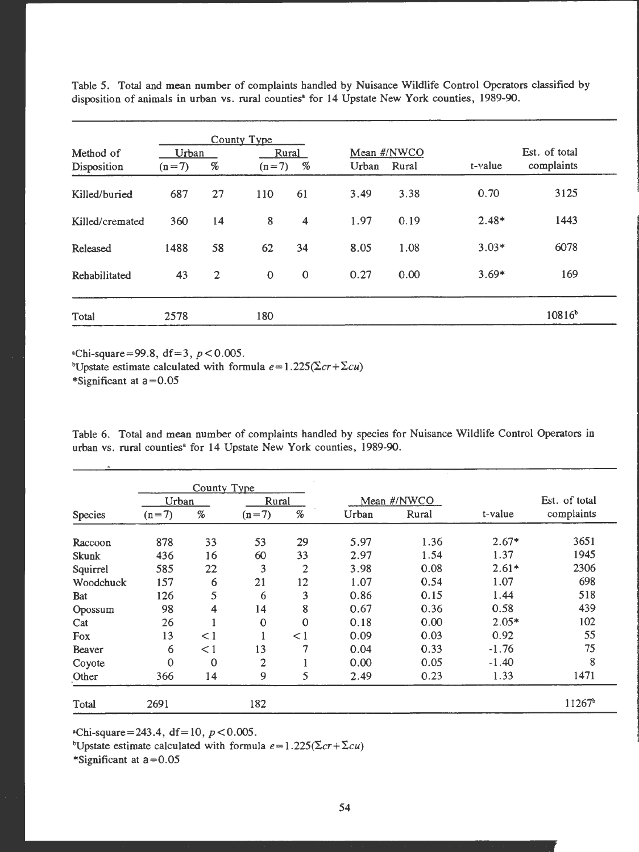| Method of       | Urban   |                |              |                                                                                                                              |       |             |            |               |
|-----------------|---------|----------------|--------------|------------------------------------------------------------------------------------------------------------------------------|-------|-------------|------------|---------------|
|                 |         |                |              | Rural                                                                                                                        |       | Mean #/NWCO |            | Est. of total |
| Disposition     | $(n=7)$ | %              | $(n=7)$      | $% \mathcal{P}_{\mathrm{C}}^{\mathrm{C}}(\mathcal{P}_{\mathrm{C}}^{\mathrm{C}}(\mathcal{P}_{\mathrm{C}}^{\mathrm{C}})^{-1})$ | Urban | Rural       | $t$ -value | complaints    |
| Killed/buried   | 687     | 27             | 110          | 61                                                                                                                           | 3.49  | 3.38        | 0.70       | 3125          |
| Killed/cremated | 360     | 14             | 8            | 4                                                                                                                            | 1.97  | 0.19        | $2.48*$    | 1443          |
| Released        | 1488    | 58             | 62           | 34                                                                                                                           | 8.05  | 1.08        | $3.03*$    | 6078          |
| Rehabilitated   | 43      | $\overline{2}$ | $\mathbf{0}$ | $\bf{0}$                                                                                                                     | 0.27  | 0.00        | $3.69*$    | 169           |

Table *5.* Total and mean number of complaints handled by Nuisance Wildlife Control Operators classified by disposition of animals in urban vs. rural counties• for 14 Upstate New York counties, 1989-90.

 $e^{\text{th}}$ -square=99.8, df=3, p < 0.005.

bUpstate estimate calculated with formula  $e = 1.225(\Sigma cr + \Sigma cu)$ 

\*Significant at  $a = 0.05$ 

Table 6. Total and mean number of complaints handled by species for Nuisance Wildlife Control Operators in urban vs. rural counties• for 14 Upstate New York counties, 1989-90.

|            |              | County Type |                |              |       |             |         |                    |
|------------|--------------|-------------|----------------|--------------|-------|-------------|---------|--------------------|
|            | Urban        |             |                | Rural        |       | Mean #/NWCO |         | Est. of total      |
| Species    | $(n=7)$      | $\%$        | $(n=7)$        | $\%$         | Urban | Rural       | t-value | complaints         |
| Raccoon    | 878          | 33          | 53             | 29           | 5.97  | 1.36        | $2.67*$ | 3651               |
| Skunk      | 436          | 16          | 60             | 33           | 2.97  | 1.54        | 1.37    | 1945               |
| Squirrel   | 585          | 22          | 3              | 2            | 3.98  | 0.08        | $2.61*$ | 2306               |
| Woodchuck  | 157          | 6           | 21             | 12           | 1.07  | 0.54        | 1.07    | 698                |
| <b>Bat</b> | 126          | 5           | 6              | 3            | 0.86  | 0.15        | 1.44    | 518                |
| Opossum    | 98           | 4           | 14             | 8            | 0.67  | 0.36        | 0.58    | 439                |
| Cat        | 26           |             | $\mathbf 0$    | $\mathbf{0}$ | 0.18  | 0.00        | $2.05*$ | 102                |
| Fox        | 13           | $\leq$ 1    |                | $\leq$ 1     | 0.09  | 0.03        | 0.92    | 55                 |
| Beaver     | 6            | $\leq$ 1    | 13             | 7            | 0.04  | 0.33        | $-1.76$ | 75                 |
| Coyote     | $\mathbf{0}$ | $\Omega$    | $\overline{2}$ |              | 0.00  | 0.05        | $-1.40$ | 8                  |
| Other      | 366          | 14          | 9              | 5            | 2.49  | 0.23        | 1.33    | 1471               |
| Total      | 2691         |             | 182            |              |       |             |         | 11267 <sup>b</sup> |

 $*Chi-square = 243.4, df = 10, p < 0.005.$ 

<sup>b</sup>Upstate estimate calculated with formula  $e = 1.225(\Sigma cr + \Sigma cu)$ 

\*Significant at  $a = 0.05$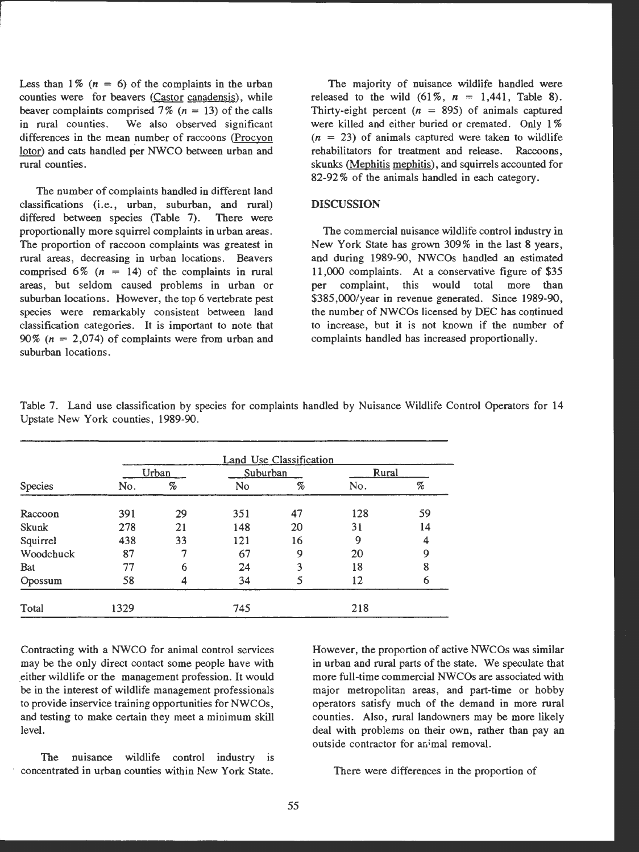Less than  $1\%$   $(n = 6)$  of the complaints in the urban counties were for beavers (Castor canadensis), while beaver complaints comprised 7% ( $n = 13$ ) of the calls in rural counties. We also observed significant differences in the mean number of raccoons (Procyon lotor) and cats bandied per NWCO between urban and rural counties.

The number of complaints bandied in different land  $classifications (i.e., urban, suburban, and rural)$ differed between species (Table 7). There were proportionally more squirrel complaints in urban areas . The proportion of raccoon complaints was greatest in rural areas, decreasing in urban locations. Beavers comprised 6% ( $n = 14$ ) of the complaints in rural areas, but seldom caused problems in urban or suburban locations. However, the top 6 vertebrate pest species were remarkably consistent between land classification categories. It is important to note that 90% ( $n = 2,074$ ) of complaints were from urban and suburban locations .

The majority of nuisance wildlife bandied **were**  released to the wild  $(61\%, n = 1,441,$  Table 8). Thirty-eight percent  $(n = 895)$  of animals captured were killed and either buried or cremated. Only 1%  $(n = 23)$  of animals captured were taken to wildlife rehabilitators for treatment and release. Raccoons, skunks (Mephitis mephitis). and squirrels accounted for 82-92 % of the animals bandied in each category .

## **DISCUSSION**

The commercial nuisance wildlife control industry in New York State has grown 309% in the last 8 years, and during 1989-90, NWCOs handled an estimated 11,000 complaints. At a conservative figure of \$35 per complaint, this would total more than \$385,000/year in revenue generated. Since 1989-90, the number of NWCOs licensed by DEC has continued to increase, but it is not known if the number of complaints handled has increased proportionally.

|           | Land Use Classification |                               |          |    |       |    |  |  |  |  |  |
|-----------|-------------------------|-------------------------------|----------|----|-------|----|--|--|--|--|--|
|           |                         | Urban                         | Suburban |    | Rural |    |  |  |  |  |  |
| Species   | No.                     | $% \mathcal{P}_{\mathcal{A}}$ | No       | %  | No.   | %  |  |  |  |  |  |
| Raccoon   | 391                     | 29                            | 351      | 47 | 128   | 59 |  |  |  |  |  |
| Skunk     | 278                     | 21                            | 148      | 20 | 31    | 14 |  |  |  |  |  |
| Squirrel  | 438                     | 33                            | 121      | 16 | 9     | 4  |  |  |  |  |  |
| Woodchuck | 87                      |                               | 67       | 9  | 20    | 9  |  |  |  |  |  |
| Bat       | 77                      | 6                             | 24       | 3  | 18    | 8  |  |  |  |  |  |
| Opossum   | 58                      |                               | 34       |    | 12    | 6  |  |  |  |  |  |
| Total     | 1329                    |                               | 745      |    | 218   |    |  |  |  |  |  |

Table 7. Land use classification by species for complaints handled by Nuisance Wildlife Control Operators for 14 Upstate New York counties, 1989-90.

Contracting with a NWCO for animal control services may be the only direct contact some people have with either wildlife or the management profession. It would be in the interest of wildlife management professionals to provide inservice training opportunities for NWCOs, and testing to make certain they meet a minimum skill level.

The nuisance wildlife control industry is concentrated in urban counties within New York State.

However , the proportion of active NWCOs was similar in urban and rural parts of the state. We speculate that more full-time commercial NWCOs are associated with major metropolitan areas, and part-time or hobby operators satisfy much of the demand in more rural counties. Also, rural landowners may be more likely deal with problems on their own, rather than pay an outside contractor for animal removal.

There were differences in the proportion of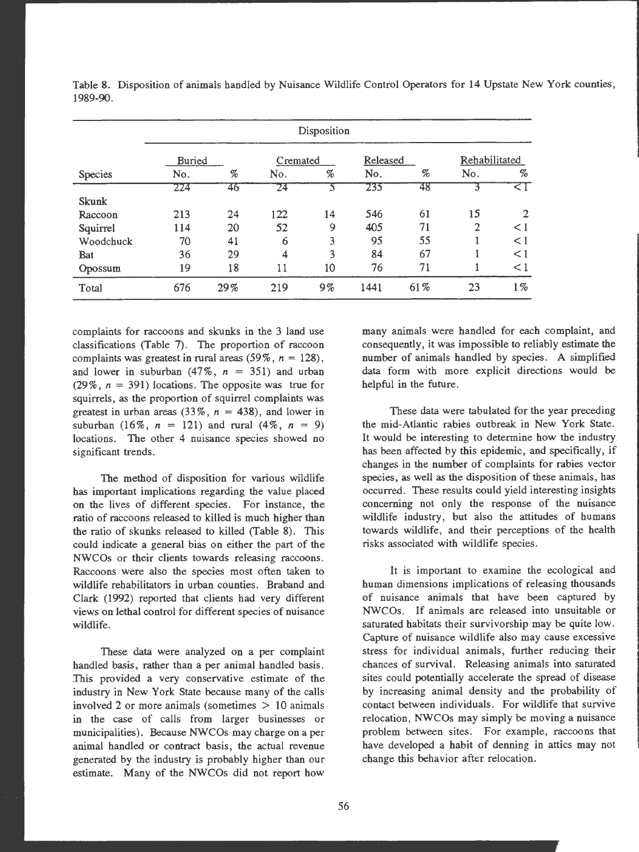|              | <b>Buried</b> |      | Cremated |                              | Released |     | Rehabilitated  |                |
|--------------|---------------|------|----------|------------------------------|----------|-----|----------------|----------------|
| Species      | No.           | $\%$ | No.      | $% \mathcal{P}_{\mathrm{c}}$ | No.      | %   | No.            | %              |
|              | 224           | 46   | 24       |                              | 235      | 48  |                | ≤ 1            |
| <b>Skunk</b> |               |      |          |                              |          |     |                |                |
| Raccoon      | 213           | 24   | 122      | 14                           | 546      | 61  | 15             | $\overline{2}$ |
| Squirrel     | 114           | 20   | 52       | 9                            | 405      | 71  | $\overline{2}$ | $\leq$ 1       |
| Woodchuck    | 70            | 41   | 6        | 3                            | 95       | 55  |                | $\leq$ 1       |
| Bat          | 36            | 29   | 4        | 3                            | 84       | 67  |                | $\leq$ 1       |
| Opossum      | 19            | 18   | 11       | 10                           | 76       | 71  |                | $\leq$ 1       |
| Total        | 676           | 29%  | 219      | $9\%$                        | 1441     | 61% | 23             | $1\%$          |

Table 8. Disposition of animals handled by Nuisance Wildlife Control Operators for 14 Upstate New York counties, 1989-90 .

complaints for raccoons and skunks in the 3 land use classifications (Table 7). The proportion of raccoon complaints was greatest in rural areas  $(59\%, n = 128)$ , and lower in suburban  $(47\% , n = 351)$  and urban (29%,  $n = 391$ ) locations. The opposite was true for squirrels, as the proportion of squirrel complaints was greatest in urban areas  $(33\% \, , n = 438)$ , and lower in suburban (16%,  $n = 121$ ) and rural (4%,  $n = 9$ ) locations. The other 4 nuisance species showed no significant trends.

The method of disposition for various wildlife has important implications regarding the value placed on the lives of different species. For instance, the ratio of raccoons released to killed is much higher than the ratio of skunks released to killed (Table 8). This could indicate a general bias on either the part of the NWCOs or their clients towards releasing raccoons. Raccoons were also the species most often taken to wildlife rehabilitators in urban counties. Braband and Clark (1992) reported that clients had very different views on lethal control for different species of nuisance wildlife.

These data were analyzed on a per complaint handled basis, rather than a per animal handled basis. .This provided a very conservative estimate of the industry in **New York** State because many of the calls involved 2 or more animals (sometimes  $> 10$  animals in the case of calls from larger businesses or municipalities). Because NWCOs may charge on a per animal handled or contract basis, the actual revenue generated by the industry is probably higher than our estimate. Many of the NWCOs did not report how many animals were handled for each complaint, and consequently, it was impossible to reliably estimate the number of animals handled by species. A simplified data form with more explicit directions would be helpful in the future.

These data were tabulated for the year preceding the mid-Atlantic rabies outbreak in New York State. It would be interesting to determine how the industry has been affected by this epidemic, and specifically, if changes in the number of complaints for rabies vector species, as well as the disposition of these animals, has occurred. These results could yield interesting insights concerning not only the response of the nuisance wildlife industry, but also the attitudes of humans towards wildlife, and their perceptions of the health risks associated with wildlife species .

It is important to examine the ecological and human dimensions implications of releasing thousands of nuisance animals that have been captured by NWCOs . If animals are released into unsuitable or saturated habitats their survivorship may be quite low. Capture of nuisance wildlife also may cause excessive stress for individual animals, further reducing their chances of survival. Releasing animals into saturated sites could potentially accelerate the spread of disease by increasing animal density and the probability of contact between individuals. For wildlife that survive relocation, NWCOs may simply be moving a nuisance problem between sites. For example, raccoons that have developed a habit of denning in attics may not change this behavior after relocation.